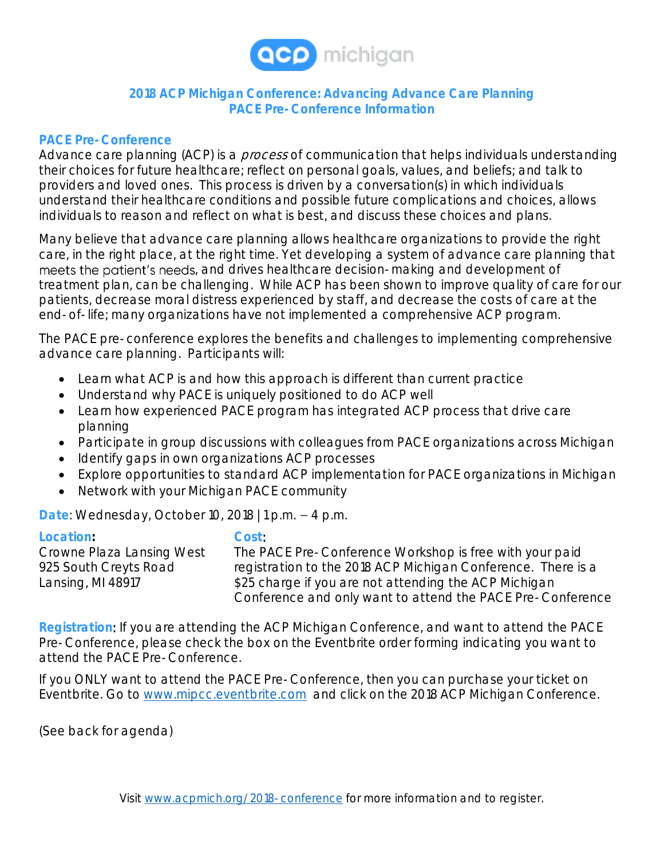

## **2018 ACP Michigan Conference: Advancing Advance Care Planning PACE Pre-Conference Information**

## **PACE Pre-Conference**

Advance care planning (ACP) is a *process* of communication that helps individuals understanding their choices for future healthcare; reflect on personal goals, values, and beliefs; and talk to providers and loved ones. This process is driven by a conversation(s) in which individuals understand their healthcare conditions and possible future complications and choices, allows individuals to reason and reflect on what is best, and discuss these choices and plans.

Many believe that advance care planning allows healthcare organizations to provide the right care, in the right place, at the right time. Yet developing a system of advance care planning that meets the patient's needs, and drives healthcare decision-making and development of treatment plan, can be challenging. While ACP has been shown to improve quality of care for our patients, decrease moral distress experienced by staff, and decrease the costs of care at the end-of-life; many organizations have not implemented a comprehensive ACP program.

The PACE pre-conference explores the benefits and challenges to implementing comprehensive advance care planning. Participants will:

- Learn what ACP is and how this approach is different than current practice
- Understand why PACE is uniquely positioned to do ACP well
- Learn how experienced PACE program has integrated ACP process that drive care planning
- Participate in group discussions with colleagues from PACE organizations across Michigan
- Identify gaps in own organizations ACP processes
- Explore opportunities to standard ACP implementation for PACE organizations in Michigan
- Network with your Michigan PACE community

Date: Wednesday, October 10, 2018 | 1 p.m. - 4 p.m.

**Location: Cost**:

Crowne Plaza Lansing West The PACE Pre-Conference Workshop is free with your paid 925 South Creyts Road registration to the 2018 ACP Michigan Conference. There is a Lansing, MI 48917 **\$25 charge if you are not attending the ACP Michigan** Conference and only want to attend the PACE Pre-Conference

**Registration**: If you are attending the ACP Michigan Conference, and want to attend the PACE Pre-Conference, please check the box on the Eventbrite order forming indicating you want to attend the PACE Pre-Conference.

If you ONLY want to attend the PACE Pre-Conference, then you can purchase your ticket on Eventbrite. Go to [www.mipcc.eventbrite.com](http://www.mipcc.eventbrite.com/) and click on the 2018 ACP Michigan Conference.

(See back for agenda)